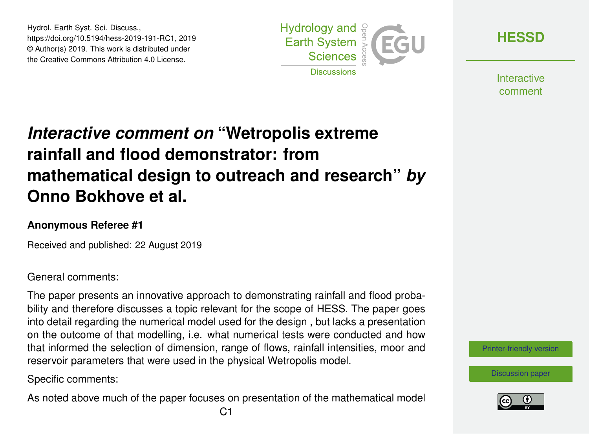Hydrol. Earth Syst. Sci. Discuss., https://doi.org/10.5194/hess-2019-191-RC1, 2019 © Author(s) 2019. This work is distributed under the Creative Commons Attribution 4.0 License.



**[HESSD](https://www.hydrol-earth-syst-sci-discuss.net/)**

**Interactive** comment

## *Interactive comment on* **"Wetropolis extreme rainfall and flood demonstrator: from mathematical design to outreach and research"** *by* **Onno Bokhove et al.**

## **Anonymous Referee #1**

Received and published: 22 August 2019

General comments:

The paper presents an innovative approach to demonstrating rainfall and flood probability and therefore discusses a topic relevant for the scope of HESS. The paper goes into detail regarding the numerical model used for the design , but lacks a presentation on the outcome of that modelling, i.e. what numerical tests were conducted and how that informed the selection of dimension, range of flows, rainfall intensities, moor and reservoir parameters that were used in the physical Wetropolis model.

Specific comments:

As noted above much of the paper focuses on presentation of the mathematical model

[Printer-friendly version](https://www.hydrol-earth-syst-sci-discuss.net/hess-2019-191/hess-2019-191-RC1-print.pdf)



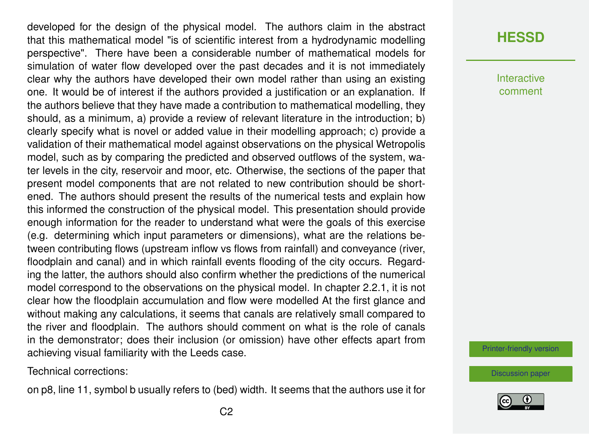developed for the design of the physical model. The authors claim in the abstract that this mathematical model "is of scientific interest from a hydrodynamic modelling perspective". There have been a considerable number of mathematical models for simulation of water flow developed over the past decades and it is not immediately clear why the authors have developed their own model rather than using an existing one. It would be of interest if the authors provided a justification or an explanation. If the authors believe that they have made a contribution to mathematical modelling, they should, as a minimum, a) provide a review of relevant literature in the introduction; b) clearly specify what is novel or added value in their modelling approach; c) provide a validation of their mathematical model against observations on the physical Wetropolis model, such as by comparing the predicted and observed outflows of the system, water levels in the city, reservoir and moor, etc. Otherwise, the sections of the paper that present model components that are not related to new contribution should be shortened. The authors should present the results of the numerical tests and explain how this informed the construction of the physical model. This presentation should provide enough information for the reader to understand what were the goals of this exercise (e.g. determining which input parameters or dimensions), what are the relations between contributing flows (upstream inflow vs flows from rainfall) and conveyance (river, floodplain and canal) and in which rainfall events flooding of the city occurs. Regarding the latter, the authors should also confirm whether the predictions of the numerical model correspond to the observations on the physical model. In chapter 2.2.1, it is not clear how the floodplain accumulation and flow were modelled At the first glance and without making any calculations, it seems that canals are relatively small compared to the river and floodplain. The authors should comment on what is the role of canals in the demonstrator; does their inclusion (or omission) have other effects apart from achieving visual familiarity with the Leeds case.

Technical corrections:

on p8, line 11, symbol b usually refers to (bed) width. It seems that the authors use it for

## **[HESSD](https://www.hydrol-earth-syst-sci-discuss.net/)**

**Interactive** comment

[Printer-friendly version](https://www.hydrol-earth-syst-sci-discuss.net/hess-2019-191/hess-2019-191-RC1-print.pdf)

[Discussion paper](https://www.hydrol-earth-syst-sci-discuss.net/hess-2019-191)